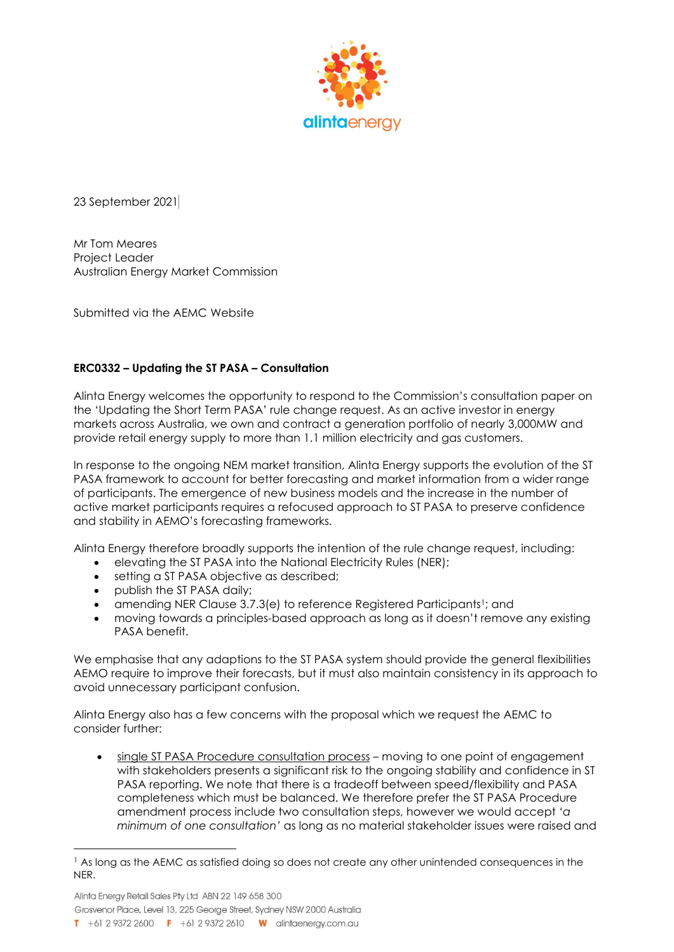

23 September 2021

Mr Tom Meares Project Leader Australian Energy Market Commission

Submitted via the AEMC Website

## ERC0332 – Updating the ST PASA – Consultation

Alinta Energy welcomes the opportunity to respond to the Commission's consultation paper on the 'Updating the Short Term PASA' rule change request. As an active investor in energy markets across Australia, we own and contract a generation portfolio of nearly 3,000MW and provide retail energy supply to more than 1.1 million electricity and gas customers.

In response to the ongoing NEM market transition, Alinta Energy supports the evolution of the ST PASA framework to account for better forecasting and market information from a wider range of participants. The emergence of new business models and the increase in the number of active market participants requires a refocused approach to ST PASA to preserve confidence and stability in AEMO's forecasting frameworks.

Alinta Energy therefore broadly supports the intention of the rule change request, including:

- elevating the ST PASA into the National Electricity Rules (NER);
- setting a ST PASA objective as described;
- publish the ST PASA daily;
- amending NER Clause 3.7.3(e) to reference Registered Participants1; and
- moving towards a principles-based approach as long as it doesn't remove any existing PASA benefit.

We emphasise that any adaptions to the ST PASA system should provide the general flexibilities AEMO require to improve their forecasts, but it must also maintain consistency in its approach to avoid unnecessary participant confusion.

Alinta Energy also has a few concerns with the proposal which we request the AEMC to consider further:

 single ST PASA Procedure consultation process – moving to one point of engagement with stakeholders presents a significant risk to the ongoing stability and confidence in ST PASA reporting. We note that there is a tradeoff between speed/flexibility and PASA completeness which must be balanced. We therefore prefer the ST PASA Procedure amendment process include two consultation steps, however we would accept 'a minimum of one consultation' as long as no material stakeholder issues were raised and

Alinta Energy Retail Sales Pty Ltd ABN 22 149 658 300 Grosvenor Place, Level 13, 225 George Street, Sydney NSW 2000 Australia T +61 2 9372 2600 F +61 2 9372 2610 W alintaenergy.com.au

<sup>&</sup>lt;sup>1</sup> As long as the AEMC as satisfied doing so does not create any other unintended consequences in the NER.